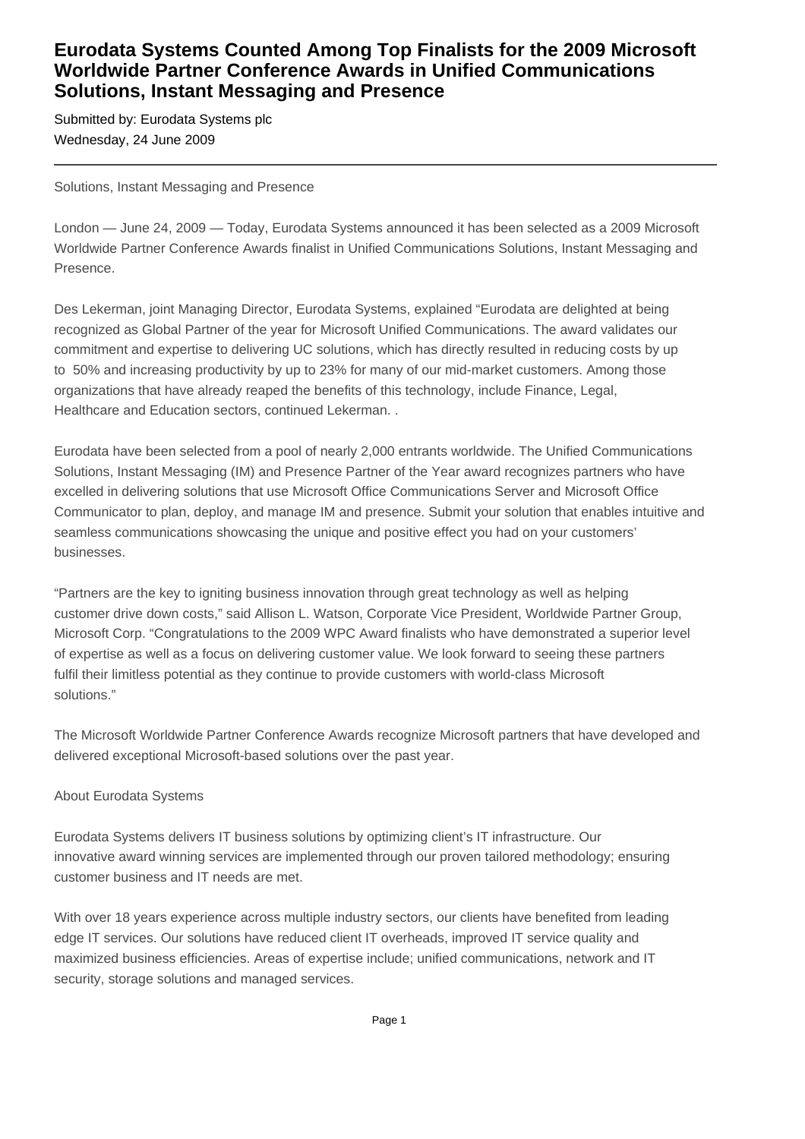## **Eurodata Systems Counted Among Top Finalists for the 2009 Microsoft Worldwide Partner Conference Awards in Unified Communications Solutions, Instant Messaging and Presence**

Submitted by: Eurodata Systems plc Wednesday, 24 June 2009

Solutions, Instant Messaging and Presence

London — June 24, 2009 — Today, Eurodata Systems announced it has been selected as a 2009 Microsoft Worldwide Partner Conference Awards finalist in Unified Communications Solutions, Instant Messaging and Presence.

Des Lekerman, joint Managing Director, Eurodata Systems, explained "Eurodata are delighted at being recognized as Global Partner of the year for Microsoft Unified Communications. The award validates our commitment and expertise to delivering UC solutions, which has directly resulted in reducing costs by up to 50% and increasing productivity by up to 23% for many of our mid-market customers. Among those organizations that have already reaped the benefits of this technology, include Finance, Legal, Healthcare and Education sectors, continued Lekerman. .

Eurodata have been selected from a pool of nearly 2,000 entrants worldwide. The Unified Communications Solutions, Instant Messaging (IM) and Presence Partner of the Year award recognizes partners who have excelled in delivering solutions that use Microsoft Office Communications Server and Microsoft Office Communicator to plan, deploy, and manage IM and presence. Submit your solution that enables intuitive and seamless communications showcasing the unique and positive effect you had on your customers' businesses.

"Partners are the key to igniting business innovation through great technology as well as helping customer drive down costs," said Allison L. Watson, Corporate Vice President, Worldwide Partner Group, Microsoft Corp. "Congratulations to the 2009 WPC Award finalists who have demonstrated a superior level of expertise as well as a focus on delivering customer value. We look forward to seeing these partners fulfil their limitless potential as they continue to provide customers with world-class Microsoft solutions."

The Microsoft Worldwide Partner Conference Awards recognize Microsoft partners that have developed and delivered exceptional Microsoft-based solutions over the past year.

## About Eurodata Systems

Eurodata Systems delivers IT business solutions by optimizing client's IT infrastructure. Our innovative award winning services are implemented through our proven tailored methodology; ensuring customer business and IT needs are met.

With over 18 years experience across multiple industry sectors, our clients have benefited from leading edge IT services. Our solutions have reduced client IT overheads, improved IT service quality and maximized business efficiencies. Areas of expertise include; unified communications, network and IT security, storage solutions and managed services.